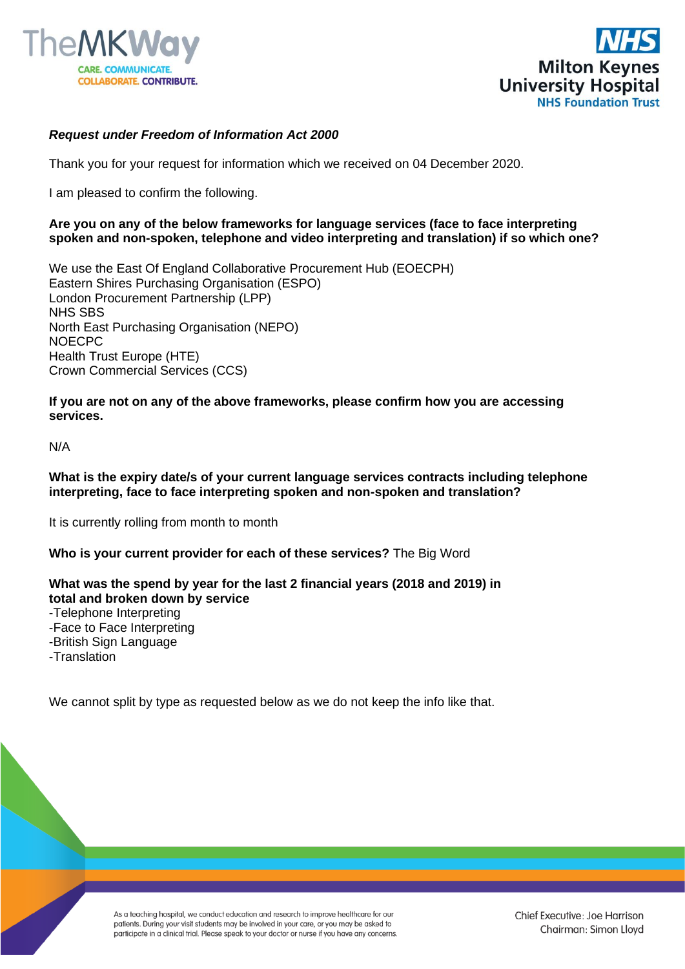



# *Request under Freedom of Information Act 2000*

Thank you for your request for information which we received on 04 December 2020.

I am pleased to confirm the following.

### **Are you on any of the below frameworks for language services (face to face interpreting spoken and non-spoken, telephone and video interpreting and translation) if so which one?**

We use the East Of England Collaborative Procurement Hub (EOECPH) Eastern Shires Purchasing Organisation (ESPO) London Procurement Partnership (LPP) NHS SBS North East Purchasing Organisation (NEPO) NOECPC Health Trust Europe (HTE) Crown Commercial Services (CCS)

**If you are not on any of the above frameworks, please confirm how you are accessing services.**

N/A

### **What is the expiry date/s of your current language services contracts including telephone interpreting, face to face interpreting spoken and non-spoken and translation?**

It is currently rolling from month to month

# **Who is your current provider for each of these services?** The Big Word

# **What was the spend by year for the last 2 financial years (2018 and 2019) in total and broken down by service**

-Telephone Interpreting

-Face to Face Interpreting

-British Sign Language

-Translation

We cannot split by type as requested below as we do not keep the info like that.

As a teaching hospital, we conduct education and research to improve healthcare for our patients. During your visit students may be involved in your care, or you may be asked to participate in a clinical trial. Please speak to your doctor or nurse if you have any concerns.